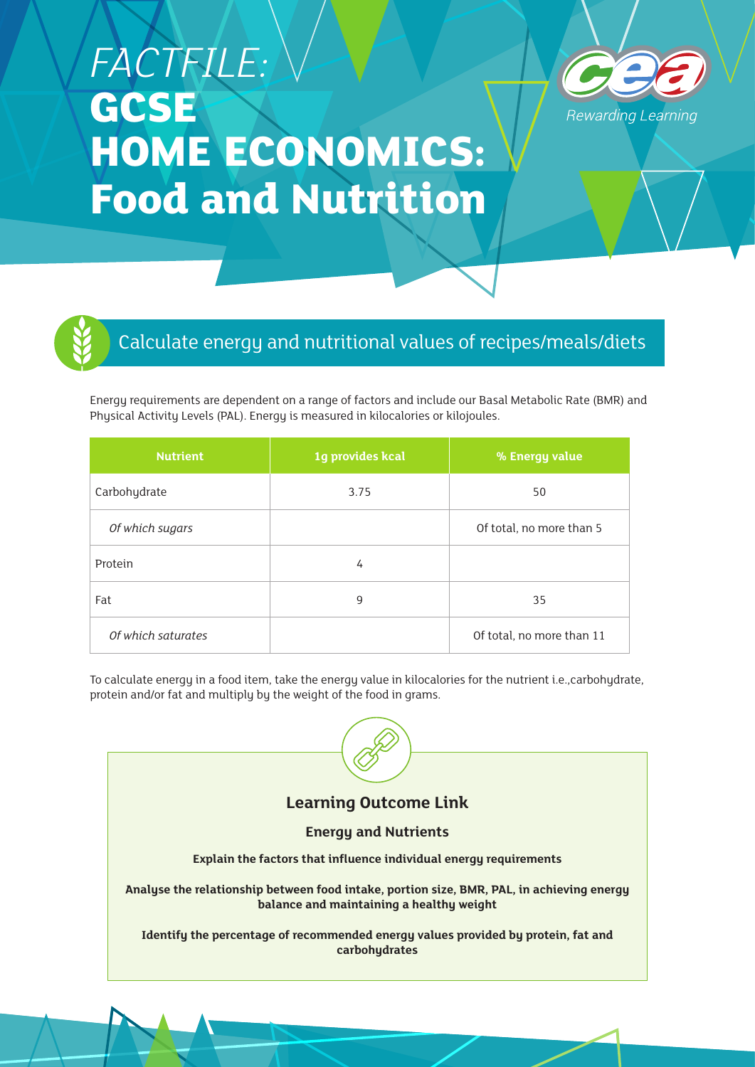## *FACTFILE:*  **GCSE HOME ECONOMICS: Food and Nutrition**





## Calculate energy and nutritional values of recipes/meals/diets

Energy requirements are dependent on a range of factors and include our Basal Metabolic Rate (BMR) and Physical Activity Levels (PAL). Energy is measured in kilocalories or kilojoules.

| <b>Nutrient</b>    | 1g provides kcal | % Energy value            |
|--------------------|------------------|---------------------------|
| Carbohydrate       | 3.75             | 50                        |
| Of which sugars    |                  | Of total, no more than 5  |
| Protein            | 4                |                           |
| Fat                | 9                | 35                        |
| Of which saturates |                  | Of total, no more than 11 |

To calculate energy in a food item, take the energy value in kilocalories for the nutrient i.e.,carbohydrate, protein and/or fat and multiply by the weight of the food in grams.